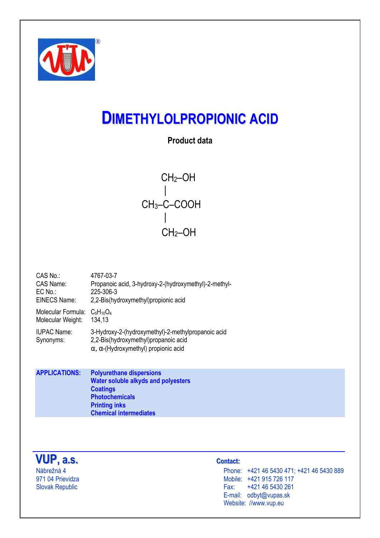

# **DIMETHYLOLPROPIONIC ACID**

# **Product data**

 CH2–OH | CH3–C–COOH | CH2–OH

| CAS No.:            | 4767-03-7                                             |
|---------------------|-------------------------------------------------------|
| CAS Name:           | Propanoic acid, 3-hydroxy-2-(hydroxymethyl)-2-methyl- |
| $EC$ No.:           | 225-306-3                                             |
| <b>EINECS Name:</b> | 2,2-Bis(hydroxymethyl) propionic acid                 |
| Molecular Formula:  | $C_5H_{10}O_4$                                        |
| Molecular Weight:   | 134,13                                                |
| <b>IUPAC Name:</b>  | 3-Hydroxy-2-(hydroxymethyl)-2-methylpropanoic acid    |
| Synonyms:           | 2,2-Bis(hydroxymethyl)propanoic acid                  |

α, α-(Hydroxymethyl) propionic acid

**APPLICATIONS: Polyurethane dispersions Water soluble alkyds and polyesters Coatings Photochemicals Printing inks Chemical intermediates** 



## **taacct t : ::**

Nábrežná 4 Phone: +421 46 5430 471; +421 46 5430 889 971 04 Prievidza Mobile: +421 915 726 117 +421 46 5430 261 E-mail: odbyt@vupas.sk Website: //www.vup.eu